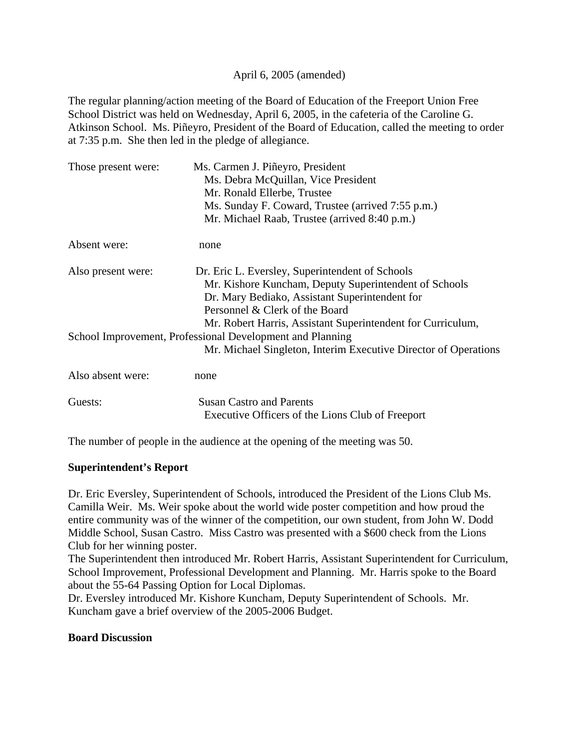#### April 6, 2005 (amended)

The regular planning/action meeting of the Board of Education of the Freeport Union Free School District was held on Wednesday, April 6, 2005, in the cafeteria of the Caroline G. Atkinson School. Ms. Piñeyro, President of the Board of Education, called the meeting to order at 7:35 p.m. She then led in the pledge of allegiance.

| Those present were: | Ms. Carmen J. Piñeyro, President                                |
|---------------------|-----------------------------------------------------------------|
|                     | Ms. Debra McQuillan, Vice President                             |
|                     | Mr. Ronald Ellerbe, Trustee                                     |
|                     | Ms. Sunday F. Coward, Trustee (arrived 7:55 p.m.)               |
|                     | Mr. Michael Raab, Trustee (arrived 8:40 p.m.)                   |
| Absent were:        | none                                                            |
| Also present were:  | Dr. Eric L. Eversley, Superintendent of Schools                 |
|                     | Mr. Kishore Kuncham, Deputy Superintendent of Schools           |
|                     | Dr. Mary Bediako, Assistant Superintendent for                  |
|                     | Personnel & Clerk of the Board                                  |
|                     | Mr. Robert Harris, Assistant Superintendent for Curriculum,     |
|                     | School Improvement, Professional Development and Planning       |
|                     | Mr. Michael Singleton, Interim Executive Director of Operations |
| Also absent were:   | none                                                            |
| Guests:             | <b>Susan Castro and Parents</b>                                 |
|                     | Executive Officers of the Lions Club of Freeport                |

The number of people in the audience at the opening of the meeting was 50.

# **Superintendent's Report**

Dr. Eric Eversley, Superintendent of Schools, introduced the President of the Lions Club Ms. Camilla Weir. Ms. Weir spoke about the world wide poster competition and how proud the entire community was of the winner of the competition, our own student, from John W. Dodd Middle School, Susan Castro. Miss Castro was presented with a \$600 check from the Lions Club for her winning poster.

The Superintendent then introduced Mr. Robert Harris, Assistant Superintendent for Curriculum, School Improvement, Professional Development and Planning. Mr. Harris spoke to the Board about the 55-64 Passing Option for Local Diplomas.

Dr. Eversley introduced Mr. Kishore Kuncham, Deputy Superintendent of Schools. Mr. Kuncham gave a brief overview of the 2005-2006 Budget.

#### **Board Discussion**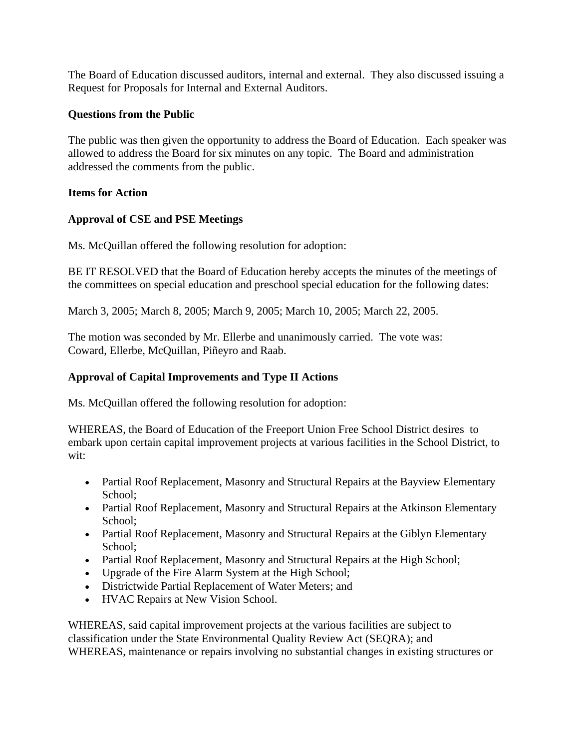The Board of Education discussed auditors, internal and external. They also discussed issuing a Request for Proposals for Internal and External Auditors.

#### **Questions from the Public**

The public was then given the opportunity to address the Board of Education. Each speaker was allowed to address the Board for six minutes on any topic. The Board and administration addressed the comments from the public.

#### **Items for Action**

# **Approval of CSE and PSE Meetings**

Ms. McQuillan offered the following resolution for adoption:

BE IT RESOLVED that the Board of Education hereby accepts the minutes of the meetings of the committees on special education and preschool special education for the following dates:

March 3, 2005; March 8, 2005; March 9, 2005; March 10, 2005; March 22, 2005.

The motion was seconded by Mr. Ellerbe and unanimously carried. The vote was: Coward, Ellerbe, McQuillan, Piñeyro and Raab.

# **Approval of Capital Improvements and Type II Actions**

Ms. McQuillan offered the following resolution for adoption:

WHEREAS, the Board of Education of the Freeport Union Free School District desires to embark upon certain capital improvement projects at various facilities in the School District, to wit:

- Partial Roof Replacement, Masonry and Structural Repairs at the Bayview Elementary School;
- Partial Roof Replacement, Masonry and Structural Repairs at the Atkinson Elementary School;
- Partial Roof Replacement, Masonry and Structural Repairs at the Giblyn Elementary School;
- Partial Roof Replacement, Masonry and Structural Repairs at the High School;
- Upgrade of the Fire Alarm System at the High School;
- Districtwide Partial Replacement of Water Meters; and
- HVAC Repairs at New Vision School.

WHEREAS, said capital improvement projects at the various facilities are subject to classification under the State Environmental Quality Review Act (SEQRA); and WHEREAS, maintenance or repairs involving no substantial changes in existing structures or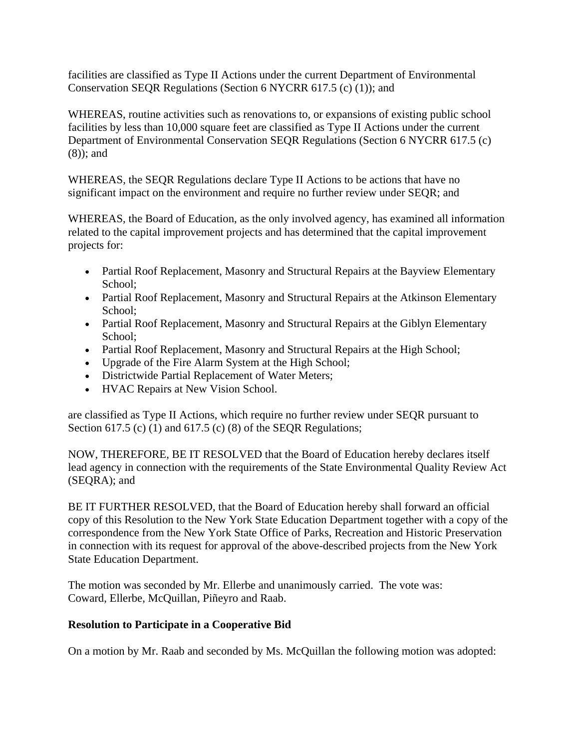facilities are classified as Type II Actions under the current Department of Environmental Conservation SEQR Regulations (Section 6 NYCRR 617.5 (c) (1)); and

WHEREAS, routine activities such as renovations to, or expansions of existing public school facilities by less than 10,000 square feet are classified as Type II Actions under the current Department of Environmental Conservation SEQR Regulations (Section 6 NYCRR 617.5 (c) (8)); and

WHEREAS, the SEQR Regulations declare Type II Actions to be actions that have no significant impact on the environment and require no further review under SEQR; and

WHEREAS, the Board of Education, as the only involved agency, has examined all information related to the capital improvement projects and has determined that the capital improvement projects for:

- Partial Roof Replacement, Masonry and Structural Repairs at the Bayview Elementary School;
- Partial Roof Replacement, Masonry and Structural Repairs at the Atkinson Elementary School;
- Partial Roof Replacement, Masonry and Structural Repairs at the Giblyn Elementary School;
- Partial Roof Replacement, Masonry and Structural Repairs at the High School;
- Upgrade of the Fire Alarm System at the High School;
- Districtwide Partial Replacement of Water Meters;
- HVAC Repairs at New Vision School.

are classified as Type II Actions, which require no further review under SEQR pursuant to Section 617.5 (c) (1) and 617.5 (c) (8) of the SEQR Regulations;

NOW, THEREFORE, BE IT RESOLVED that the Board of Education hereby declares itself lead agency in connection with the requirements of the State Environmental Quality Review Act (SEQRA); and

BE IT FURTHER RESOLVED, that the Board of Education hereby shall forward an official copy of this Resolution to the New York State Education Department together with a copy of the correspondence from the New York State Office of Parks, Recreation and Historic Preservation in connection with its request for approval of the above-described projects from the New York State Education Department.

The motion was seconded by Mr. Ellerbe and unanimously carried. The vote was: Coward, Ellerbe, McQuillan, Piñeyro and Raab.

# **Resolution to Participate in a Cooperative Bid**

On a motion by Mr. Raab and seconded by Ms. McQuillan the following motion was adopted: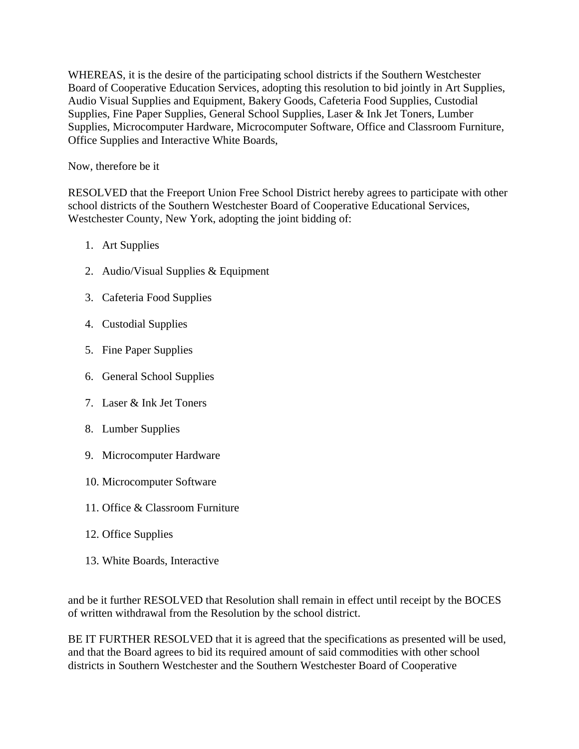WHEREAS, it is the desire of the participating school districts if the Southern Westchester Board of Cooperative Education Services, adopting this resolution to bid jointly in Art Supplies, Audio Visual Supplies and Equipment, Bakery Goods, Cafeteria Food Supplies, Custodial Supplies, Fine Paper Supplies, General School Supplies, Laser & Ink Jet Toners, Lumber Supplies, Microcomputer Hardware, Microcomputer Software, Office and Classroom Furniture, Office Supplies and Interactive White Boards,

Now, therefore be it

RESOLVED that the Freeport Union Free School District hereby agrees to participate with other school districts of the Southern Westchester Board of Cooperative Educational Services, Westchester County, New York, adopting the joint bidding of:

- 1. Art Supplies
- 2. Audio/Visual Supplies & Equipment
- 3. Cafeteria Food Supplies
- 4. Custodial Supplies
- 5. Fine Paper Supplies
- 6. General School Supplies
- 7. Laser & Ink Jet Toners
- 8. Lumber Supplies
- 9. Microcomputer Hardware
- 10. Microcomputer Software
- 11. Office & Classroom Furniture
- 12. Office Supplies
- 13. White Boards, Interactive

and be it further RESOLVED that Resolution shall remain in effect until receipt by the BOCES of written withdrawal from the Resolution by the school district.

BE IT FURTHER RESOLVED that it is agreed that the specifications as presented will be used, and that the Board agrees to bid its required amount of said commodities with other school districts in Southern Westchester and the Southern Westchester Board of Cooperative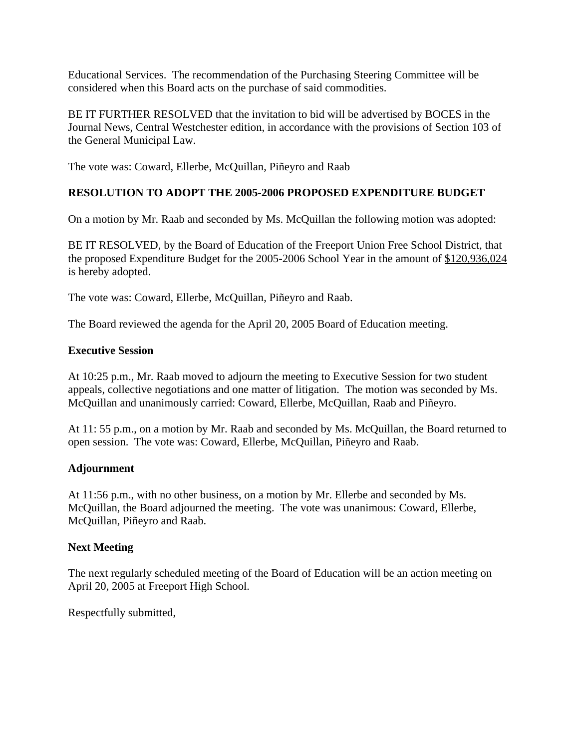Educational Services. The recommendation of the Purchasing Steering Committee will be considered when this Board acts on the purchase of said commodities.

BE IT FURTHER RESOLVED that the invitation to bid will be advertised by BOCES in the Journal News, Central Westchester edition, in accordance with the provisions of Section 103 of the General Municipal Law.

The vote was: Coward, Ellerbe, McQuillan, Piñeyro and Raab

# **RESOLUTION TO ADOPT THE 2005-2006 PROPOSED EXPENDITURE BUDGET**

On a motion by Mr. Raab and seconded by Ms. McQuillan the following motion was adopted:

BE IT RESOLVED, by the Board of Education of the Freeport Union Free School District, that the proposed Expenditure Budget for the 2005-2006 School Year in the amount of \$120,936,024 is hereby adopted.

The vote was: Coward, Ellerbe, McQuillan, Piñeyro and Raab.

The Board reviewed the agenda for the April 20, 2005 Board of Education meeting.

#### **Executive Session**

At 10:25 p.m., Mr. Raab moved to adjourn the meeting to Executive Session for two student appeals, collective negotiations and one matter of litigation. The motion was seconded by Ms. McQuillan and unanimously carried: Coward, Ellerbe, McQuillan, Raab and Piñeyro.

At 11: 55 p.m., on a motion by Mr. Raab and seconded by Ms. McQuillan, the Board returned to open session. The vote was: Coward, Ellerbe, McQuillan, Piñeyro and Raab.

# **Adjournment**

At 11:56 p.m., with no other business, on a motion by Mr. Ellerbe and seconded by Ms. McQuillan, the Board adjourned the meeting. The vote was unanimous: Coward, Ellerbe, McQuillan, Piñeyro and Raab.

#### **Next Meeting**

The next regularly scheduled meeting of the Board of Education will be an action meeting on April 20, 2005 at Freeport High School.

Respectfully submitted,